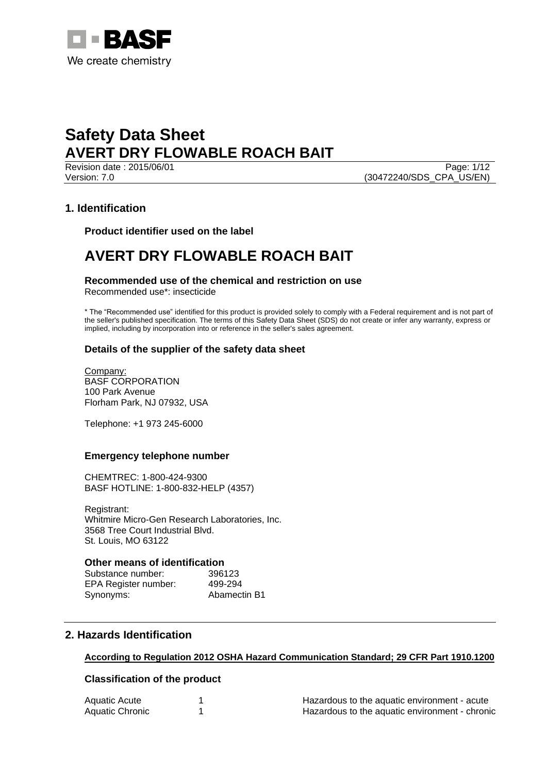

Page: 1/12 Version: 7.0 (30472240/SDS\_CPA\_US/EN)

## **1. Identification**

**Product identifier used on the label**

## **AVERT DRY FLOWABLE ROACH BAIT**

## **Recommended use of the chemical and restriction on use**

Recommended use\*: insecticide

\* The "Recommended use" identified for this product is provided solely to comply with a Federal requirement and is not part of the seller's published specification. The terms of this Safety Data Sheet (SDS) do not create or infer any warranty, express or implied, including by incorporation into or reference in the seller's sales agreement.

## **Details of the supplier of the safety data sheet**

Company: BASF CORPORATION 100 Park Avenue Florham Park, NJ 07932, USA

Telephone: +1 973 245-6000

## **Emergency telephone number**

CHEMTREC: 1-800-424-9300 BASF HOTLINE: 1-800-832-HELP (4357)

Registrant: Whitmire Micro-Gen Research Laboratories, Inc. 3568 Tree Court Industrial Blvd. St. Louis, MO 63122

#### **Other means of identification**

Substance number: 396123 EPA Register number: 499-294 Synonyms: Abamectin B1

## **2. Hazards Identification**

## **According to Regulation 2012 OSHA Hazard Communication Standard; 29 CFR Part 1910.1200**

## **Classification of the product**

| Aquatic Acute   | Hazardous to the aquatic environment - acute   |
|-----------------|------------------------------------------------|
| Aquatic Chronic | Hazardous to the aquatic environment - chronic |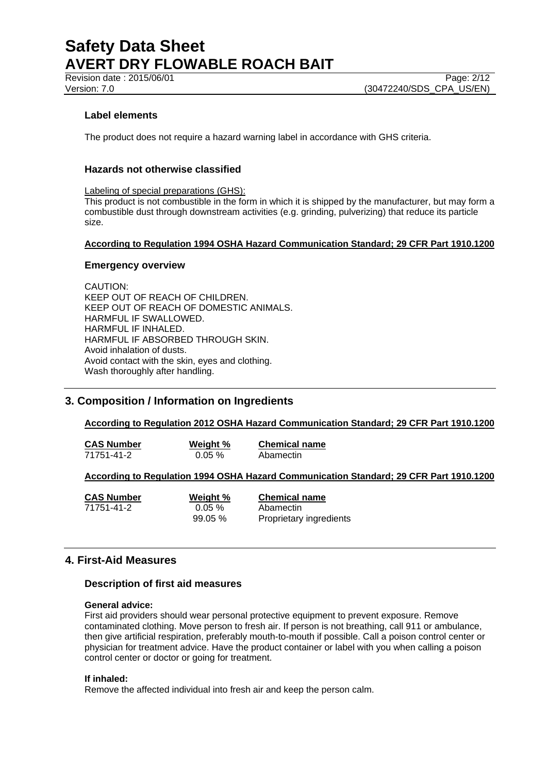## **Label elements**

The product does not require a hazard warning label in accordance with GHS criteria.

## **Hazards not otherwise classified**

Labeling of special preparations (GHS):

This product is not combustible in the form in which it is shipped by the manufacturer, but may form a combustible dust through downstream activities (e.g. grinding, pulverizing) that reduce its particle size.

#### **According to Regulation 1994 OSHA Hazard Communication Standard; 29 CFR Part 1910.1200**

#### **Emergency overview**

CAUTION: KEEP OUT OF REACH OF CHILDREN. KEEP OUT OF REACH OF DOMESTIC ANIMALS. HARMFUL IF SWALLOWED. HARMFUL IF INHALED. HARMFUL IF ABSORBED THROUGH SKIN. Avoid inhalation of dusts. Avoid contact with the skin, eyes and clothing. Wash thoroughly after handling.

## **3. Composition / Information on Ingredients**

## **According to Regulation 2012 OSHA Hazard Communication Standard; 29 CFR Part 1910.1200**

**CAS Number Weight % Chemical name** 71751-41-2 0.05 % Abamectin

## **According to Regulation 1994 OSHA Hazard Communication Standard; 29 CFR Part 1910.1200**

| <b>CAS Number</b> | Weight %   | <b>Chemical name</b>    |
|-------------------|------------|-------------------------|
| 71751-41-2        | $0.05 \%$  | Abamectin               |
|                   | $99.05 \%$ | Proprietary ingredients |

## **4. First-Aid Measures**

## **Description of first aid measures**

#### **General advice:**

First aid providers should wear personal protective equipment to prevent exposure. Remove contaminated clothing. Move person to fresh air. If person is not breathing, call 911 or ambulance, then give artificial respiration, preferably mouth-to-mouth if possible. Call a poison control center or physician for treatment advice. Have the product container or label with you when calling a poison control center or doctor or going for treatment.

#### **If inhaled:**

Remove the affected individual into fresh air and keep the person calm.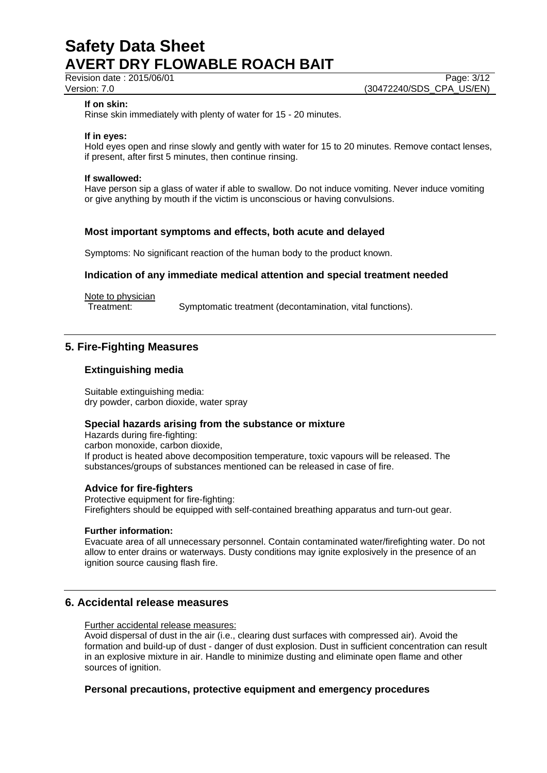Revision date : 2015/06/01 Page: 3/12<br>Version: 7.0 (30472240/SDS\_CPA\_US/EN) (30472240/SDS CPA US/EN)

#### **If on skin:**

Rinse skin immediately with plenty of water for 15 - 20 minutes.

#### **If in eyes:**

Hold eyes open and rinse slowly and gently with water for 15 to 20 minutes. Remove contact lenses, if present, after first 5 minutes, then continue rinsing.

#### **If swallowed:**

Have person sip a glass of water if able to swallow. Do not induce vomiting. Never induce vomiting or give anything by mouth if the victim is unconscious or having convulsions.

#### **Most important symptoms and effects, both acute and delayed**

Symptoms: No significant reaction of the human body to the product known.

#### **Indication of any immediate medical attention and special treatment needed**

Note to physician

Treatment: Symptomatic treatment (decontamination, vital functions).

## **5. Fire-Fighting Measures**

#### **Extinguishing media**

Suitable extinguishing media: dry powder, carbon dioxide, water spray

#### **Special hazards arising from the substance or mixture**

Hazards during fire-fighting: carbon monoxide, carbon dioxide, If product is heated above decomposition temperature, toxic vapours will be released. The substances/groups of substances mentioned can be released in case of fire.

#### **Advice for fire-fighters**

Protective equipment for fire-fighting: Firefighters should be equipped with self-contained breathing apparatus and turn-out gear.

#### **Further information:**

Evacuate area of all unnecessary personnel. Contain contaminated water/firefighting water. Do not allow to enter drains or waterways. Dusty conditions may ignite explosively in the presence of an ignition source causing flash fire.

## **6. Accidental release measures**

Further accidental release measures:

Avoid dispersal of dust in the air (i.e., clearing dust surfaces with compressed air). Avoid the formation and build-up of dust - danger of dust explosion. Dust in sufficient concentration can result in an explosive mixture in air. Handle to minimize dusting and eliminate open flame and other sources of ignition.

#### **Personal precautions, protective equipment and emergency procedures**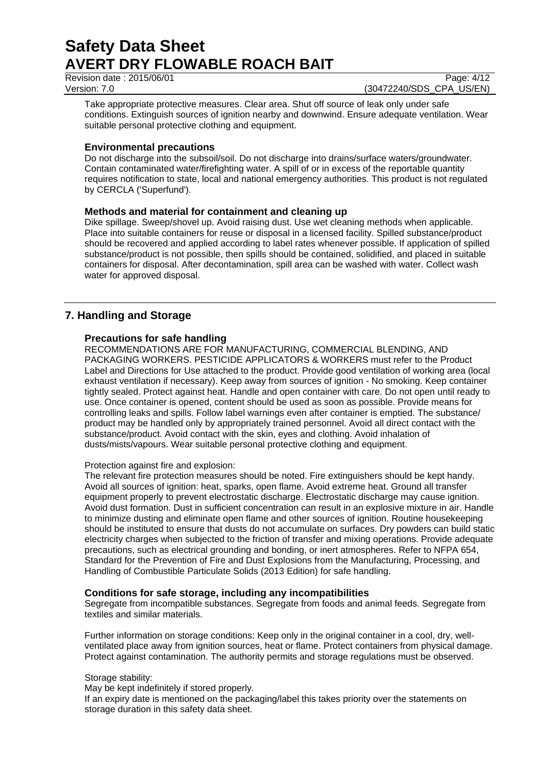Revision date : 2015/06/01 Page: 4/12

Version: 7.0 (30472240/SDS\_CPA\_US/EN)

Take appropriate protective measures. Clear area. Shut off source of leak only under safe conditions. Extinguish sources of ignition nearby and downwind. Ensure adequate ventilation. Wear suitable personal protective clothing and equipment.

## **Environmental precautions**

Do not discharge into the subsoil/soil. Do not discharge into drains/surface waters/groundwater. Contain contaminated water/firefighting water. A spill of or in excess of the reportable quantity requires notification to state, local and national emergency authorities. This product is not regulated by CERCLA ('Superfund').

## **Methods and material for containment and cleaning up**

Dike spillage. Sweep/shovel up. Avoid raising dust. Use wet cleaning methods when applicable. Place into suitable containers for reuse or disposal in a licensed facility. Spilled substance/product should be recovered and applied according to label rates whenever possible. If application of spilled substance/product is not possible, then spills should be contained, solidified, and placed in suitable containers for disposal. After decontamination, spill area can be washed with water. Collect wash water for approved disposal.

## **7. Handling and Storage**

## **Precautions for safe handling**

RECOMMENDATIONS ARE FOR MANUFACTURING, COMMERCIAL BLENDING, AND PACKAGING WORKERS. PESTICIDE APPLICATORS & WORKERS must refer to the Product Label and Directions for Use attached to the product. Provide good ventilation of working area (local exhaust ventilation if necessary). Keep away from sources of ignition - No smoking. Keep container tightly sealed. Protect against heat. Handle and open container with care. Do not open until ready to use. Once container is opened, content should be used as soon as possible. Provide means for controlling leaks and spills. Follow label warnings even after container is emptied. The substance/ product may be handled only by appropriately trained personnel. Avoid all direct contact with the substance/product. Avoid contact with the skin, eyes and clothing. Avoid inhalation of dusts/mists/vapours. Wear suitable personal protective clothing and equipment.

## Protection against fire and explosion:

The relevant fire protection measures should be noted. Fire extinguishers should be kept handy. Avoid all sources of ignition: heat, sparks, open flame. Avoid extreme heat. Ground all transfer equipment properly to prevent electrostatic discharge. Electrostatic discharge may cause ignition. Avoid dust formation. Dust in sufficient concentration can result in an explosive mixture in air. Handle to minimize dusting and eliminate open flame and other sources of ignition. Routine housekeeping should be instituted to ensure that dusts do not accumulate on surfaces. Dry powders can build static electricity charges when subjected to the friction of transfer and mixing operations. Provide adequate precautions, such as electrical grounding and bonding, or inert atmospheres. Refer to NFPA 654, Standard for the Prevention of Fire and Dust Explosions from the Manufacturing, Processing, and Handling of Combustible Particulate Solids (2013 Edition) for safe handling.

## **Conditions for safe storage, including any incompatibilities**

Segregate from incompatible substances. Segregate from foods and animal feeds. Segregate from textiles and similar materials.

Further information on storage conditions: Keep only in the original container in a cool, dry, wellventilated place away from ignition sources, heat or flame. Protect containers from physical damage. Protect against contamination. The authority permits and storage regulations must be observed.

## Storage stability:

May be kept indefinitely if stored properly.

If an expiry date is mentioned on the packaging/label this takes priority over the statements on storage duration in this safety data sheet.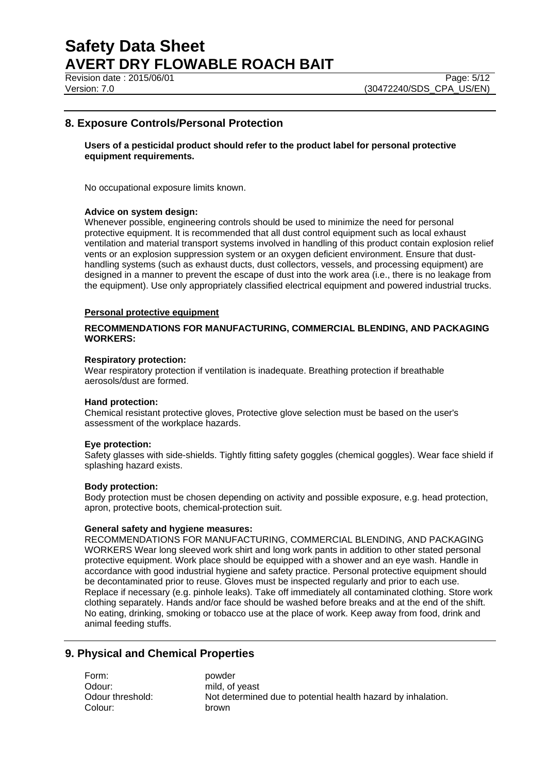Revision date : 2015/06/01 Page: 5/12

## **8. Exposure Controls/Personal Protection**

#### **Users of a pesticidal product should refer to the product label for personal protective equipment requirements.**

No occupational exposure limits known.

#### **Advice on system design:**

Whenever possible, engineering controls should be used to minimize the need for personal protective equipment. It is recommended that all dust control equipment such as local exhaust ventilation and material transport systems involved in handling of this product contain explosion relief vents or an explosion suppression system or an oxygen deficient environment. Ensure that dusthandling systems (such as exhaust ducts, dust collectors, vessels, and processing equipment) are designed in a manner to prevent the escape of dust into the work area (i.e., there is no leakage from the equipment). Use only appropriately classified electrical equipment and powered industrial trucks.

#### **Personal protective equipment**

#### **RECOMMENDATIONS FOR MANUFACTURING, COMMERCIAL BLENDING, AND PACKAGING WORKERS:**

#### **Respiratory protection:**

Wear respiratory protection if ventilation is inadequate. Breathing protection if breathable aerosols/dust are formed.

#### **Hand protection:**

Chemical resistant protective gloves, Protective glove selection must be based on the user's assessment of the workplace hazards.

#### **Eye protection:**

Safety glasses with side-shields. Tightly fitting safety goggles (chemical goggles). Wear face shield if splashing hazard exists.

#### **Body protection:**

Body protection must be chosen depending on activity and possible exposure, e.g. head protection, apron, protective boots, chemical-protection suit.

#### **General safety and hygiene measures:**

RECOMMENDATIONS FOR MANUFACTURING, COMMERCIAL BLENDING, AND PACKAGING WORKERS Wear long sleeved work shirt and long work pants in addition to other stated personal protective equipment. Work place should be equipped with a shower and an eye wash. Handle in accordance with good industrial hygiene and safety practice. Personal protective equipment should be decontaminated prior to reuse. Gloves must be inspected regularly and prior to each use. Replace if necessary (e.g. pinhole leaks). Take off immediately all contaminated clothing. Store work clothing separately. Hands and/or face should be washed before breaks and at the end of the shift. No eating, drinking, smoking or tobacco use at the place of work. Keep away from food, drink and animal feeding stuffs.

## **9. Physical and Chemical Properties**

Form: powder Odour: mild, of yeast Colour: brown

Odour threshold: Not determined due to potential health hazard by inhalation.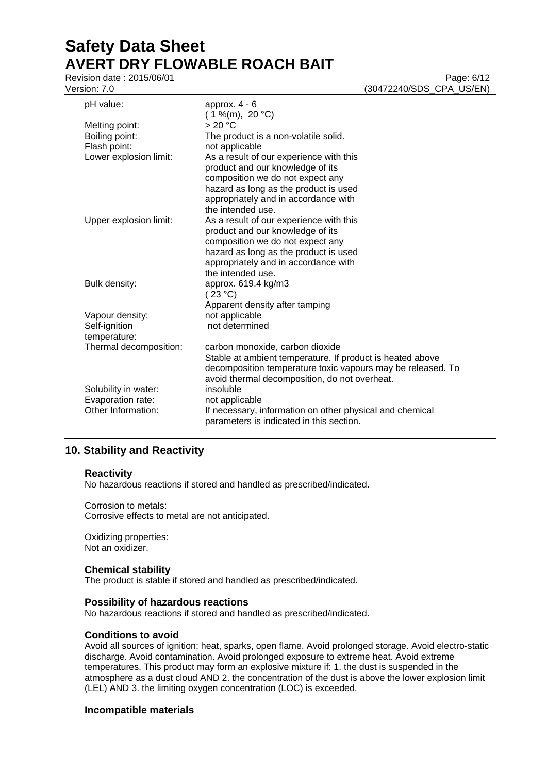Revision date : 2015/06/01

| pH value:              | approx. $4 - 6$                                                                                      |  |
|------------------------|------------------------------------------------------------------------------------------------------|--|
| Melting point:         | $(1\%$ (m), 20 °C)<br>> 20 °C                                                                        |  |
| Boiling point:         |                                                                                                      |  |
| Flash point:           | The product is a non-volatile solid.                                                                 |  |
|                        | not applicable                                                                                       |  |
| Lower explosion limit: | As a result of our experience with this                                                              |  |
|                        | product and our knowledge of its                                                                     |  |
|                        | composition we do not expect any                                                                     |  |
|                        | hazard as long as the product is used                                                                |  |
|                        | appropriately and in accordance with                                                                 |  |
|                        | the intended use.                                                                                    |  |
| Upper explosion limit: | As a result of our experience with this                                                              |  |
|                        | product and our knowledge of its                                                                     |  |
|                        | composition we do not expect any                                                                     |  |
|                        | hazard as long as the product is used                                                                |  |
|                        | appropriately and in accordance with                                                                 |  |
|                        | the intended use.                                                                                    |  |
| Bulk density:          | approx. 619.4 kg/m3<br>(23 °C)                                                                       |  |
|                        | Apparent density after tamping                                                                       |  |
| Vapour density:        | not applicable                                                                                       |  |
| Self-ignition          | not determined                                                                                       |  |
| temperature:           |                                                                                                      |  |
| Thermal decomposition: | carbon monoxide, carbon dioxide                                                                      |  |
|                        | Stable at ambient temperature. If product is heated above                                            |  |
|                        | decomposition temperature toxic vapours may be released. To                                          |  |
|                        | avoid thermal decomposition, do not overheat.                                                        |  |
| Solubility in water:   | insoluble                                                                                            |  |
| Evaporation rate:      | not applicable                                                                                       |  |
| Other Information:     | If necessary, information on other physical and chemical<br>parameters is indicated in this section. |  |

## **10. Stability and Reactivity**

#### **Reactivity**

No hazardous reactions if stored and handled as prescribed/indicated.

Corrosion to metals: Corrosive effects to metal are not anticipated.

Oxidizing properties: Not an oxidizer.

## **Chemical stability**

The product is stable if stored and handled as prescribed/indicated.

#### **Possibility of hazardous reactions**

No hazardous reactions if stored and handled as prescribed/indicated.

#### **Conditions to avoid**

Avoid all sources of ignition: heat, sparks, open flame. Avoid prolonged storage. Avoid electro-static discharge. Avoid contamination. Avoid prolonged exposure to extreme heat. Avoid extreme temperatures. This product may form an explosive mixture if: 1. the dust is suspended in the atmosphere as a dust cloud AND 2. the concentration of the dust is above the lower explosion limit (LEL) AND 3. the limiting oxygen concentration (LOC) is exceeded.

#### **Incompatible materials**

Version: 7.0 (30472240/SDS\_CPA\_US/EN)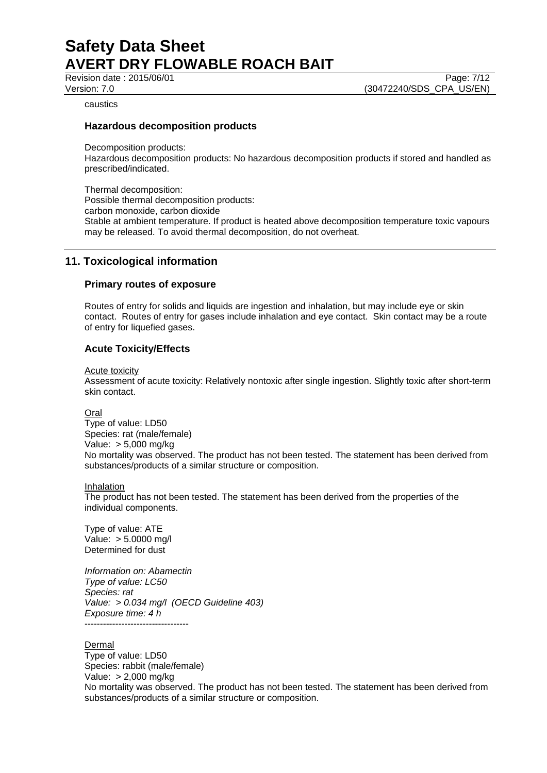Revision date : 2015/06/01 Page: 7/12

Version: 7.0 (30472240/SDS\_CPA\_US/EN)

caustics

#### **Hazardous decomposition products**

Decomposition products:

Hazardous decomposition products: No hazardous decomposition products if stored and handled as prescribed/indicated.

Thermal decomposition: Possible thermal decomposition products: carbon monoxide, carbon dioxide Stable at ambient temperature. If product is heated above decomposition temperature toxic vapours may be released. To avoid thermal decomposition, do not overheat.

## **11. Toxicological information**

#### **Primary routes of exposure**

Routes of entry for solids and liquids are ingestion and inhalation, but may include eye or skin contact. Routes of entry for gases include inhalation and eye contact. Skin contact may be a route of entry for liquefied gases.

## **Acute Toxicity/Effects**

Acute toxicity

Assessment of acute toxicity: Relatively nontoxic after single ingestion. Slightly toxic after short-term skin contact.

Oral

Type of value: LD50 Species: rat (male/female) Value: > 5,000 mg/kg No mortality was observed. The product has not been tested. The statement has been derived from substances/products of a similar structure or composition.

Inhalation

The product has not been tested. The statement has been derived from the properties of the individual components.

Type of value: ATE Value: > 5.0000 mg/l Determined for dust

*Information on: Abamectin Type of value: LC50 Species: rat Value: > 0.034 mg/l (OECD Guideline 403) Exposure time: 4 h* ----------------------------------

**Dermal** 

Type of value: LD50 Species: rabbit (male/female) Value: > 2,000 mg/kg No mortality was observed. The product has not been tested. The statement has been derived from substances/products of a similar structure or composition.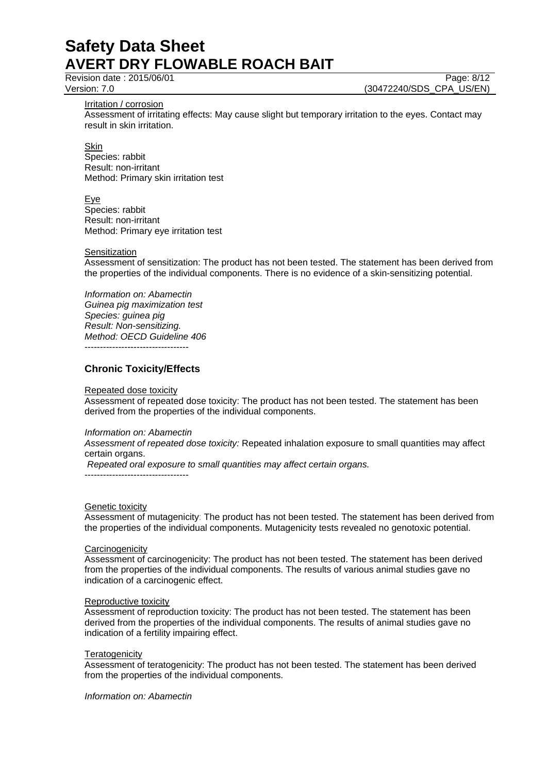Revision date : 2015/06/01 Page: 8/12

Version: 7.0 (30472240/SDS\_CPA\_US/EN)

Irritation / corrosion

Assessment of irritating effects: May cause slight but temporary irritation to the eyes. Contact may result in skin irritation.

**Skin** Species: rabbit Result: non-irritant Method: Primary skin irritation test

Eye Species: rabbit Result: non-irritant Method: Primary eye irritation test

#### **Sensitization**

Assessment of sensitization: The product has not been tested. The statement has been derived from the properties of the individual components. There is no evidence of a skin-sensitizing potential.

*Information on: Abamectin Guinea pig maximization test Species: guinea pig Result: Non-sensitizing. Method: OECD Guideline 406* ----------------------------------

**Chronic Toxicity/Effects**

Repeated dose toxicity

Assessment of repeated dose toxicity: The product has not been tested. The statement has been derived from the properties of the individual components.

#### *Information on: Abamectin*

*Assessment of repeated dose toxicity:* Repeated inhalation exposure to small quantities may affect certain organs.

*Repeated oral exposure to small quantities may affect certain organs.*

----------------------------------

#### Genetic toxicity

Assessment of mutagenicity: The product has not been tested. The statement has been derived from the properties of the individual components. Mutagenicity tests revealed no genotoxic potential.

#### **Carcinogenicity**

Assessment of carcinogenicity: The product has not been tested. The statement has been derived from the properties of the individual components. The results of various animal studies gave no indication of a carcinogenic effect.

#### Reproductive toxicity

Assessment of reproduction toxicity: The product has not been tested. The statement has been derived from the properties of the individual components. The results of animal studies gave no indication of a fertility impairing effect.

#### **Teratogenicity**

Assessment of teratogenicity: The product has not been tested. The statement has been derived from the properties of the individual components.

*Information on: Abamectin*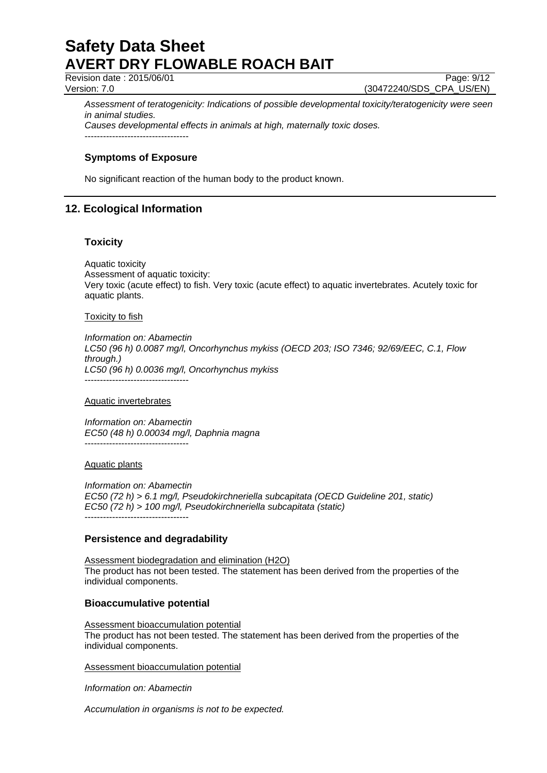Revision date : 2015/06/01 Page: 9/12

Version: 7.0 (30472240/SDS\_CPA\_US/EN)

*Assessment of teratogenicity: Indications of possible developmental toxicity/teratogenicity were seen in animal studies.*

*Causes developmental effects in animals at high, maternally toxic doses.* ----------------------------------

## **Symptoms of Exposure**

No significant reaction of the human body to the product known.

## **12. Ecological Information**

#### **Toxicity**

Aquatic toxicity Assessment of aquatic toxicity: Very toxic (acute effect) to fish. Very toxic (acute effect) to aquatic invertebrates. Acutely toxic for aquatic plants.

#### Toxicity to fish

*Information on: Abamectin LC50 (96 h) 0.0087 mg/l, Oncorhynchus mykiss (OECD 203; ISO 7346; 92/69/EEC, C.1, Flow through.) LC50 (96 h) 0.0036 mg/l, Oncorhynchus mykiss* ----------------------------------

Aquatic invertebrates

*Information on: Abamectin EC50 (48 h) 0.00034 mg/l, Daphnia magna* ----------------------------------

#### Aquatic plants

*Information on: Abamectin EC50 (72 h) > 6.1 mg/l, Pseudokirchneriella subcapitata (OECD Guideline 201, static) EC50 (72 h) > 100 mg/l, Pseudokirchneriella subcapitata (static)* ----------------------------------

## **Persistence and degradability**

Assessment biodegradation and elimination (H2O) The product has not been tested. The statement has been derived from the properties of the individual components.

## **Bioaccumulative potential**

Assessment bioaccumulation potential The product has not been tested. The statement has been derived from the properties of the individual components.

Assessment bioaccumulation potential

*Information on: Abamectin*

*Accumulation in organisms is not to be expected.*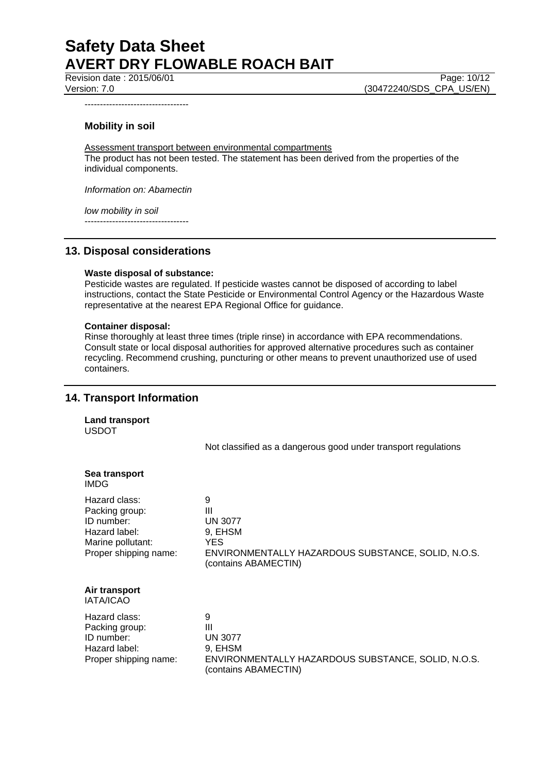Revision date : 2015/06/01 Version: 7.0 (30472240/SDS\_CPA\_US/EN)

----------------------------------

## **Mobility in soil**

Assessment transport between environmental compartments The product has not been tested. The statement has been derived from the properties of the individual components.

*Information on: Abamectin*

*low mobility in soil*

----------------------------------

## **13. Disposal considerations**

#### **Waste disposal of substance:**

Pesticide wastes are regulated. If pesticide wastes cannot be disposed of according to label instructions, contact the State Pesticide or Environmental Control Agency or the Hazardous Waste representative at the nearest EPA Regional Office for guidance.

#### **Container disposal:**

Rinse thoroughly at least three times (triple rinse) in accordance with EPA recommendations. Consult state or local disposal authorities for approved alternative procedures such as container recycling. Recommend crushing, puncturing or other means to prevent unauthorized use of used containers.

## **14. Transport Information**

**Land transport** USDOT

Not classified as a dangerous good under transport regulations

| Sea transport<br><b>IMDG</b>                                                                                 |                                                                                                                    |
|--------------------------------------------------------------------------------------------------------------|--------------------------------------------------------------------------------------------------------------------|
| Hazard class:<br>Packing group:<br>ID number:<br>Hazard label:<br>Marine pollutant:<br>Proper shipping name: | 9<br>Ш<br>UN 3077<br>9, EHSM<br>YES.<br>ENVIRONMENTALLY HAZARDOUS SUBSTANCE, SOLID, N.O.S.<br>(contains ABAMECTIN) |
| Air transport<br><b>IATA/ICAO</b>                                                                            |                                                                                                                    |
| Hazard class:<br>Packing group:<br>ID number:<br>Hazard label:<br>Proper shipping name:                      | 9<br>Ш<br>UN 3077<br>9. EHSM<br>ENVIRONMENTALLY HAZARDOUS SUBSTANCE, SOLID, N.O.S.<br>(contains ABAMECTIN)         |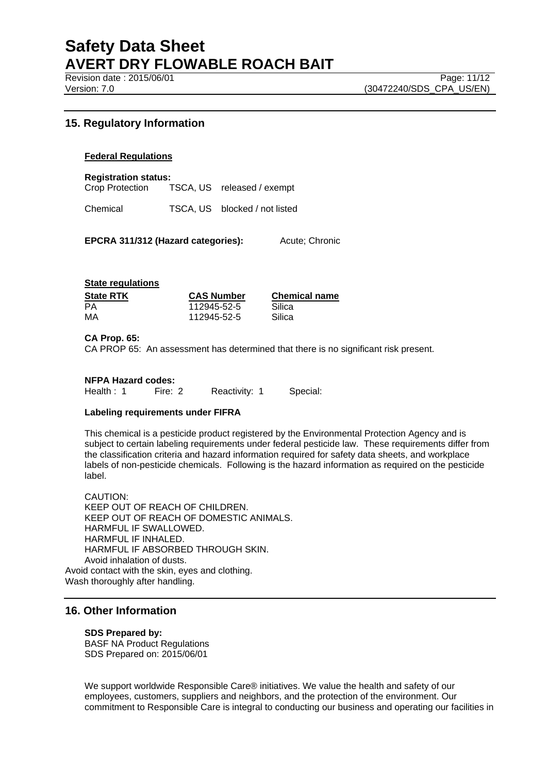Revision date : 2015/06/01 Page: 11/12

## **15. Regulatory Information**

#### **Federal Regulations**

**Registration status:**

Crop Protection TSCA, US released / exempt

Chemical TSCA, US blocked / not listed

**EPCRA 311/312 (Hazard categories):** Acute; Chronic

#### **State regulations**

| <b>State RTK</b> | <b>CAS Number</b> | <b>Chemical name</b> |
|------------------|-------------------|----------------------|
| PА               | 112945-52-5       | Silica               |
| МA               | 112945-52-5       | Silica               |

#### **CA Prop. 65:**

CA PROP 65: An assessment has determined that there is no significant risk present.

#### **NFPA Hazard codes:**

Health : 1 Fire: 2 Reactivity: 1 Special:

#### **Labeling requirements under FIFRA**

This chemical is a pesticide product registered by the Environmental Protection Agency and is subject to certain labeling requirements under federal pesticide law. These requirements differ from the classification criteria and hazard information required for safety data sheets, and workplace labels of non-pesticide chemicals. Following is the hazard information as required on the pesticide label.

CAUTION: KEEP OUT OF REACH OF CHILDREN. KEEP OUT OF REACH OF DOMESTIC ANIMALS. HARMFUL IF SWALLOWED. HARMFUL IF INHALED. HARMFUL IF ABSORBED THROUGH SKIN Avoid inhalation of dusts. Avoid contact with the skin, eyes and clothing. Wash thoroughly after handling.

## **16. Other Information**

#### **SDS Prepared by:**

BASF NA Product Regulations SDS Prepared on: 2015/06/01

We support worldwide Responsible Care® initiatives. We value the health and safety of our employees, customers, suppliers and neighbors, and the protection of the environment. Our commitment to Responsible Care is integral to conducting our business and operating our facilities in